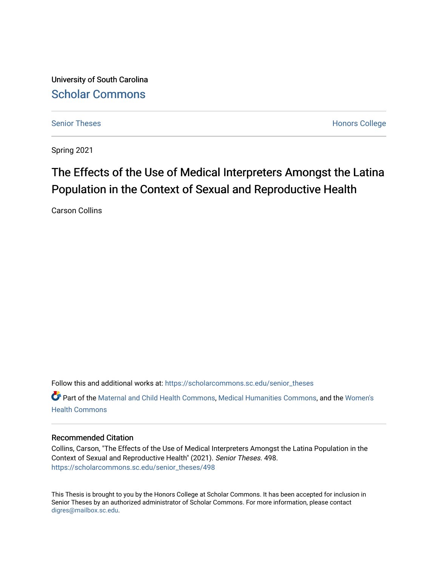University of South Carolina [Scholar Commons](https://scholarcommons.sc.edu/) 

[Senior Theses](https://scholarcommons.sc.edu/senior_theses) **Honors College** Honors College

Spring 2021

# The Effects of the Use of Medical Interpreters Amongst the Latina Population in the Context of Sexual and Reproductive Health

Carson Collins

Follow this and additional works at: [https://scholarcommons.sc.edu/senior\\_theses](https://scholarcommons.sc.edu/senior_theses?utm_source=scholarcommons.sc.edu%2Fsenior_theses%2F498&utm_medium=PDF&utm_campaign=PDFCoverPages) 

Part of the [Maternal and Child Health Commons,](http://network.bepress.com/hgg/discipline/745?utm_source=scholarcommons.sc.edu%2Fsenior_theses%2F498&utm_medium=PDF&utm_campaign=PDFCoverPages) [Medical Humanities Commons,](http://network.bepress.com/hgg/discipline/1303?utm_source=scholarcommons.sc.edu%2Fsenior_theses%2F498&utm_medium=PDF&utm_campaign=PDFCoverPages) and the [Women's](http://network.bepress.com/hgg/discipline/1241?utm_source=scholarcommons.sc.edu%2Fsenior_theses%2F498&utm_medium=PDF&utm_campaign=PDFCoverPages)  [Health Commons](http://network.bepress.com/hgg/discipline/1241?utm_source=scholarcommons.sc.edu%2Fsenior_theses%2F498&utm_medium=PDF&utm_campaign=PDFCoverPages) 

# Recommended Citation

Collins, Carson, "The Effects of the Use of Medical Interpreters Amongst the Latina Population in the Context of Sexual and Reproductive Health" (2021). Senior Theses. 498. [https://scholarcommons.sc.edu/senior\\_theses/498](https://scholarcommons.sc.edu/senior_theses/498?utm_source=scholarcommons.sc.edu%2Fsenior_theses%2F498&utm_medium=PDF&utm_campaign=PDFCoverPages) 

This Thesis is brought to you by the Honors College at Scholar Commons. It has been accepted for inclusion in Senior Theses by an authorized administrator of Scholar Commons. For more information, please contact [digres@mailbox.sc.edu](mailto:digres@mailbox.sc.edu).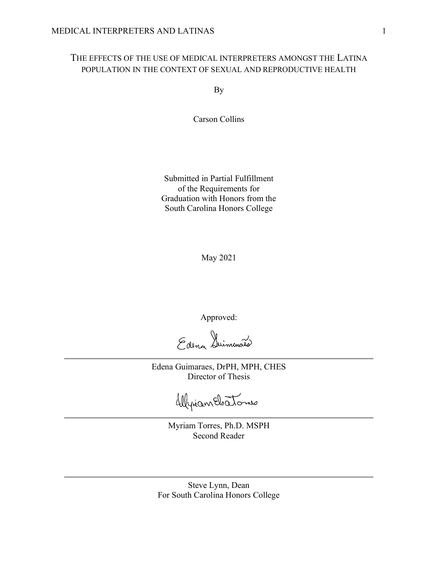# THE EFFECTS OF THE USE OF MEDICAL INTERPRETERS AMONGST THE LATINA POPULATION IN THE CONTEXT OF SEXUAL AND REPRODUCTIVE HEALTH

By

Carson Collins

Submitted in Partial Fulfillment of the Requirements for Graduation with Honors from the South Carolina Honors College

May 2021

Approved:

Edena Duinconais

Edena Guimaraes, DrPH, MPH, CHES Director of Thesis

Wyrian Electonie

Myriam Torres, Ph.D. MSPH Second Reader

Steve Lynn, Dean For South Carolina Honors College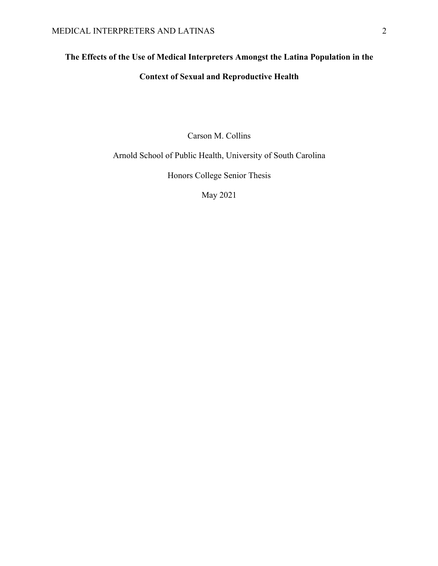# **The Effects of the Use of Medical Interpreters Amongst the Latina Population in the**

# **Context of Sexual and Reproductive Health**

Carson M. Collins

Arnold School of Public Health, University of South Carolina

Honors College Senior Thesis

May 2021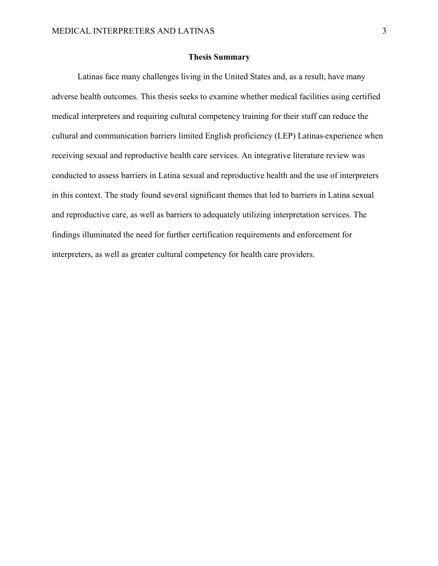# **Thesis Summary**

Latinas face many challenges living in the United States and, as a result, have many adverse health outcomes. This thesis seeks to examine whether medical facilities using certified medical interpreters and requiring cultural competency training for their staff can reduce the cultural and communication barriers limited English proficiency (LEP) Latinas experience when receiving sexual and reproductive health care services. An integrative literature review was conducted to assess barriers in Latina sexual and reproductive health and the use of interpreters in this context. The study found several significant themes that led to barriers in Latina sexual and reproductive care, as well as barriers to adequately utilizing interpretation services. The findings illuminated the need for further certification requirements and enforcement for interpreters, as well as greater cultural competency for health care providers.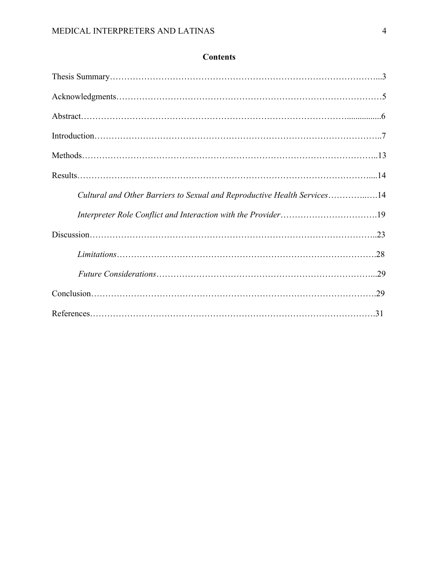| Cultural and Other Barriers to Sexual and Reproductive Health Services14 |  |
|--------------------------------------------------------------------------|--|
| Interpreter Role Conflict and Interaction with the Provider19            |  |
|                                                                          |  |
|                                                                          |  |
|                                                                          |  |
|                                                                          |  |
|                                                                          |  |

# **Contents**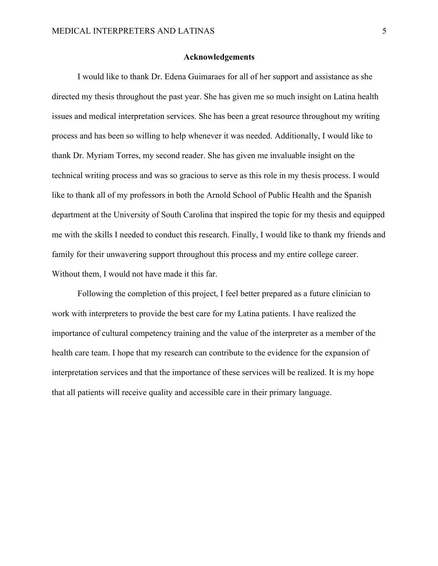# **Acknowledgements**

I would like to thank Dr. Edena Guimaraes for all of her support and assistance as she directed my thesis throughout the past year. She has given me so much insight on Latina health issues and medical interpretation services. She has been a great resource throughout my writing process and has been so willing to help whenever it was needed. Additionally, I would like to thank Dr. Myriam Torres, my second reader. She has given me invaluable insight on the technical writing process and was so gracious to serve as this role in my thesis process. I would like to thank all of my professors in both the Arnold School of Public Health and the Spanish department at the University of South Carolina that inspired the topic for my thesis and equipped me with the skills I needed to conduct this research. Finally, I would like to thank my friends and family for their unwavering support throughout this process and my entire college career. Without them, I would not have made it this far.

Following the completion of this project, I feel better prepared as a future clinician to work with interpreters to provide the best care for my Latina patients. I have realized the importance of cultural competency training and the value of the interpreter as a member of the health care team. I hope that my research can contribute to the evidence for the expansion of interpretation services and that the importance of these services will be realized. It is my hope that all patients will receive quality and accessible care in their primary language.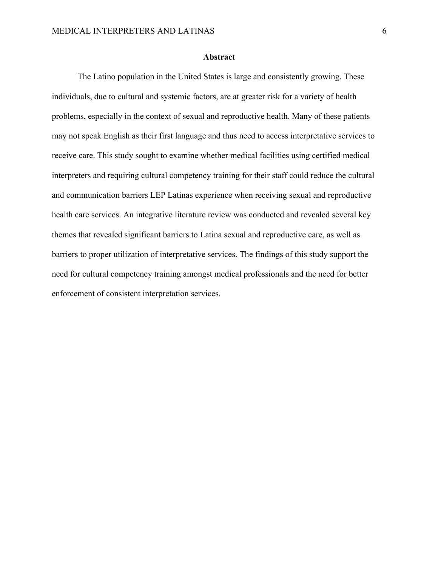# **Abstract**

The Latino population in the United States is large and consistently growing. These individuals, due to cultural and systemic factors, are at greater risk for a variety of health problems, especially in the context of sexual and reproductive health. Many of these patients may not speak English as their first language and thus need to access interpretative services to receive care. This study sought to examine whether medical facilities using certified medical interpreters and requiring cultural competency training for their staff could reduce the cultural and communication barriers LEP Latinas experience when receiving sexual and reproductive health care services. An integrative literature review was conducted and revealed several key themes that revealed significant barriers to Latina sexual and reproductive care, as well as barriers to proper utilization of interpretative services. The findings of this study support the need for cultural competency training amongst medical professionals and the need for better enforcement of consistent interpretation services.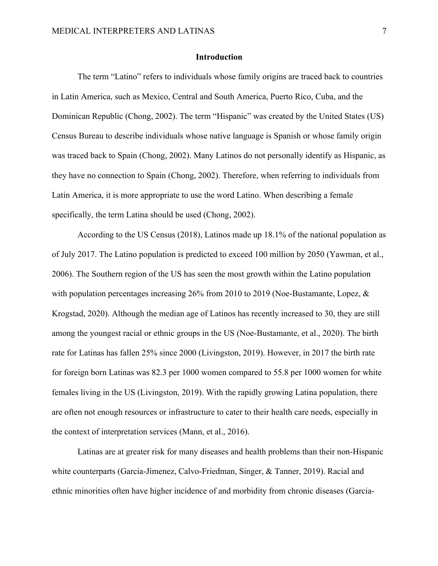# **Introduction**

The term "Latino" refers to individuals whose family origins are traced back to countries in Latin America, such as Mexico, Central and South America, Puerto Rico, Cuba, and the Dominican Republic (Chong, 2002). The term "Hispanic" was created by the United States (US) Census Bureau to describe individuals whose native language is Spanish or whose family origin was traced back to Spain (Chong, 2002). Many Latinos do not personally identify as Hispanic, as they have no connection to Spain (Chong, 2002). Therefore, when referring to individuals from Latin America, it is more appropriate to use the word Latino. When describing a female specifically, the term Latina should be used (Chong, 2002).

According to the US Census (2018), Latinos made up 18.1% of the national population as of July 2017. The Latino population is predicted to exceed 100 million by 2050 (Yawman, et al., 2006). The Southern region of the US has seen the most growth within the Latino population with population percentages increasing 26% from 2010 to 2019 (Noe-Bustamante, Lopez, & Krogstad, 2020). Although the median age of Latinos has recently increased to 30, they are still among the youngest racial or ethnic groups in the US (Noe-Bustamante, et al., 2020). The birth rate for Latinas has fallen 25% since 2000 (Livingston, 2019). However, in 2017 the birth rate for foreign born Latinas was 82.3 per 1000 women compared to 55.8 per 1000 women for white females living in the US (Livingston, 2019). With the rapidly growing Latina population, there are often not enough resources or infrastructure to cater to their health care needs, especially in the context of interpretation services (Mann, et al., 2016).

Latinas are at greater risk for many diseases and health problems than their non-Hispanic white counterparts (Garcia-Jimenez, Calvo-Friedman, Singer, & Tanner, 2019). Racial and ethnic minorities often have higher incidence of and morbidity from chronic diseases (Garcia-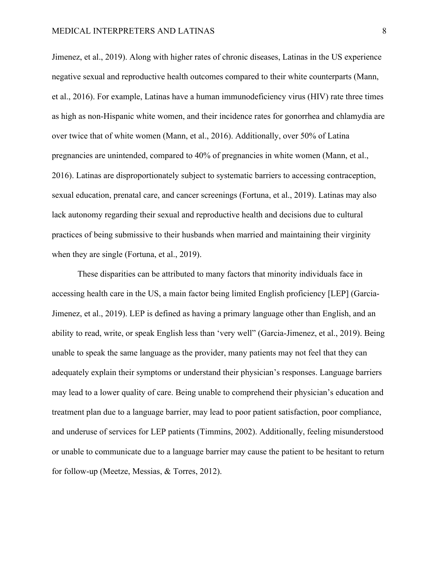Jimenez, et al., 2019). Along with higher rates of chronic diseases, Latinas in the US experience negative sexual and reproductive health outcomes compared to their white counterparts (Mann, et al., 2016). For example, Latinas have a human immunodeficiency virus (HIV) rate three times as high as non-Hispanic white women, and their incidence rates for gonorrhea and chlamydia are over twice that of white women (Mann, et al., 2016). Additionally, over 50% of Latina pregnancies are unintended, compared to 40% of pregnancies in white women (Mann, et al., 2016). Latinas are disproportionately subject to systematic barriers to accessing contraception, sexual education, prenatal care, and cancer screenings (Fortuna, et al., 2019). Latinas may also lack autonomy regarding their sexual and reproductive health and decisions due to cultural practices of being submissive to their husbands when married and maintaining their virginity when they are single (Fortuna, et al., 2019).

These disparities can be attributed to many factors that minority individuals face in accessing health care in the US, a main factor being limited English proficiency [LEP] (Garcia-Jimenez, et al., 2019). LEP is defined as having a primary language other than English, and an ability to read, write, or speak English less than 'very well" (Garcia-Jimenez, et al., 2019). Being unable to speak the same language as the provider, many patients may not feel that they can adequately explain their symptoms or understand their physician's responses. Language barriers may lead to a lower quality of care. Being unable to comprehend their physician's education and treatment plan due to a language barrier, may lead to poor patient satisfaction, poor compliance, and underuse of services for LEP patients (Timmins, 2002). Additionally, feeling misunderstood or unable to communicate due to a language barrier may cause the patient to be hesitant to return for follow-up (Meetze, Messias, & Torres, 2012).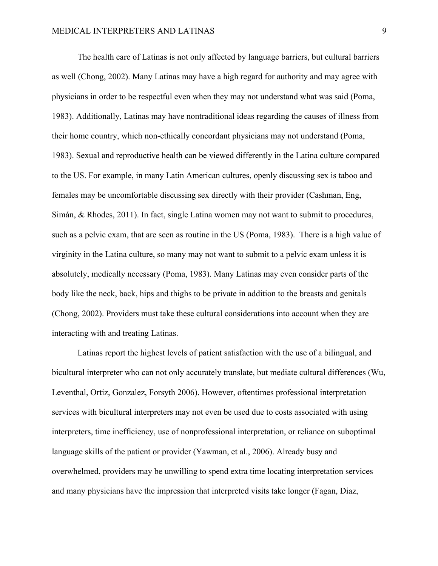The health care of Latinas is not only affected by language barriers, but cultural barriers as well (Chong, 2002). Many Latinas may have a high regard for authority and may agree with physicians in order to be respectful even when they may not understand what was said (Poma, 1983). Additionally, Latinas may have nontraditional ideas regarding the causes of illness from their home country, which non-ethically concordant physicians may not understand (Poma, 1983). Sexual and reproductive health can be viewed differently in the Latina culture compared to the US. For example, in many Latin American cultures, openly discussing sex is taboo and females may be uncomfortable discussing sex directly with their provider (Cashman, Eng, Simán, & Rhodes, 2011). In fact, single Latina women may not want to submit to procedures, such as a pelvic exam, that are seen as routine in the US (Poma, 1983). There is a high value of virginity in the Latina culture, so many may not want to submit to a pelvic exam unless it is absolutely, medically necessary (Poma, 1983). Many Latinas may even consider parts of the body like the neck, back, hips and thighs to be private in addition to the breasts and genitals (Chong, 2002). Providers must take these cultural considerations into account when they are interacting with and treating Latinas.

Latinas report the highest levels of patient satisfaction with the use of a bilingual, and bicultural interpreter who can not only accurately translate, but mediate cultural differences (Wu, Leventhal, Ortiz, Gonzalez, Forsyth 2006). However, oftentimes professional interpretation services with bicultural interpreters may not even be used due to costs associated with using interpreters, time inefficiency, use of nonprofessional interpretation, or reliance on suboptimal language skills of the patient or provider (Yawman, et al., 2006). Already busy and overwhelmed, providers may be unwilling to spend extra time locating interpretation services and many physicians have the impression that interpreted visits take longer (Fagan, Diaz,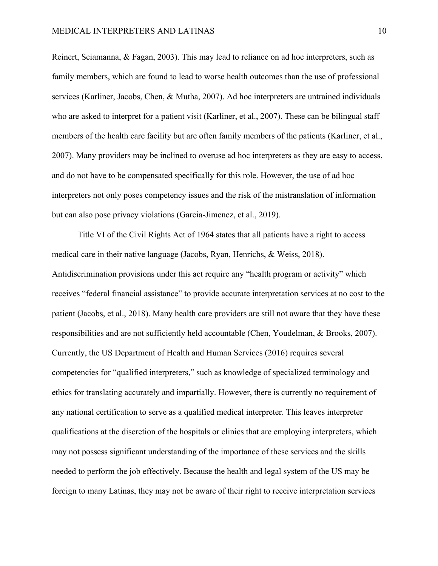Reinert, Sciamanna, & Fagan, 2003). This may lead to reliance on ad hoc interpreters, such as family members, which are found to lead to worse health outcomes than the use of professional services (Karliner, Jacobs, Chen, & Mutha, 2007). Ad hoc interpreters are untrained individuals who are asked to interpret for a patient visit (Karliner, et al., 2007). These can be bilingual staff members of the health care facility but are often family members of the patients (Karliner, et al., 2007). Many providers may be inclined to overuse ad hoc interpreters as they are easy to access, and do not have to be compensated specifically for this role. However, the use of ad hoc interpreters not only poses competency issues and the risk of the mistranslation of information but can also pose privacy violations (Garcia-Jimenez, et al., 2019).

Title VI of the Civil Rights Act of 1964 states that all patients have a right to access medical care in their native language (Jacobs, Ryan, Henrichs, & Weiss, 2018). Antidiscrimination provisions under this act require any "health program or activity" which receives "federal financial assistance" to provide accurate interpretation services at no cost to the patient (Jacobs, et al., 2018). Many health care providers are still not aware that they have these responsibilities and are not sufficiently held accountable (Chen, Youdelman, & Brooks, 2007). Currently, the US Department of Health and Human Services (2016) requires several competencies for "qualified interpreters," such as knowledge of specialized terminology and ethics for translating accurately and impartially. However, there is currently no requirement of any national certification to serve as a qualified medical interpreter. This leaves interpreter qualifications at the discretion of the hospitals or clinics that are employing interpreters, which may not possess significant understanding of the importance of these services and the skills needed to perform the job effectively. Because the health and legal system of the US may be foreign to many Latinas, they may not be aware of their right to receive interpretation services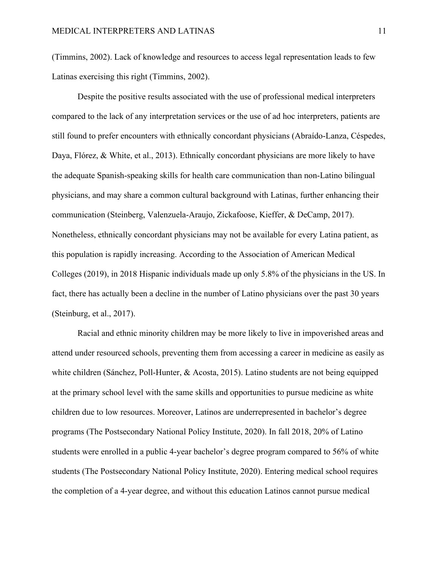(Timmins, 2002). Lack of knowledge and resources to access legal representation leads to few Latinas exercising this right (Timmins, 2002).

Despite the positive results associated with the use of professional medical interpreters compared to the lack of any interpretation services or the use of ad hoc interpreters, patients are still found to prefer encounters with ethnically concordant physicians (Abraído-Lanza, Céspedes, Daya, Flórez, & White, et al., 2013). Ethnically concordant physicians are more likely to have the adequate Spanish-speaking skills for health care communication than non-Latino bilingual physicians, and may share a common cultural background with Latinas, further enhancing their communication (Steinberg, Valenzuela-Araujo, Zickafoose, Kieffer, & DeCamp, 2017). Nonetheless, ethnically concordant physicians may not be available for every Latina patient, as this population is rapidly increasing. According to the Association of American Medical Colleges (2019), in 2018 Hispanic individuals made up only 5.8% of the physicians in the US. In fact, there has actually been a decline in the number of Latino physicians over the past 30 years (Steinburg, et al., 2017).

Racial and ethnic minority children may be more likely to live in impoverished areas and attend under resourced schools, preventing them from accessing a career in medicine as easily as white children (Sánchez, Poll-Hunter, & Acosta, 2015). Latino students are not being equipped at the primary school level with the same skills and opportunities to pursue medicine as white children due to low resources. Moreover, Latinos are underrepresented in bachelor's degree programs (The Postsecondary National Policy Institute, 2020). In fall 2018, 20% of Latino students were enrolled in a public 4-year bachelor's degree program compared to 56% of white students (The Postsecondary National Policy Institute, 2020). Entering medical school requires the completion of a 4-year degree, and without this education Latinos cannot pursue medical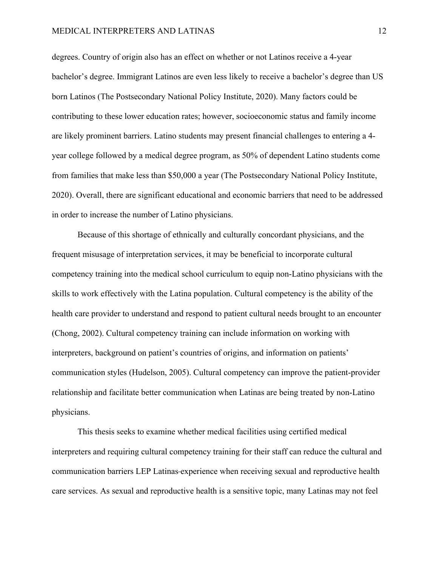# MEDICAL INTERPRETERS AND LATINAS 12

degrees. Country of origin also has an effect on whether or not Latinos receive a 4-year bachelor's degree. Immigrant Latinos are even less likely to receive a bachelor's degree than US born Latinos (The Postsecondary National Policy Institute, 2020). Many factors could be contributing to these lower education rates; however, socioeconomic status and family income are likely prominent barriers. Latino students may present financial challenges to entering a 4 year college followed by a medical degree program, as 50% of dependent Latino students come from families that make less than \$50,000 a year (The Postsecondary National Policy Institute, 2020). Overall, there are significant educational and economic barriers that need to be addressed in order to increase the number of Latino physicians.

Because of this shortage of ethnically and culturally concordant physicians, and the frequent misusage of interpretation services, it may be beneficial to incorporate cultural competency training into the medical school curriculum to equip non-Latino physicians with the skills to work effectively with the Latina population. Cultural competency is the ability of the health care provider to understand and respond to patient cultural needs brought to an encounter (Chong, 2002). Cultural competency training can include information on working with interpreters, background on patient's countries of origins, and information on patients' communication styles (Hudelson, 2005). Cultural competency can improve the patient-provider relationship and facilitate better communication when Latinas are being treated by non-Latino physicians.

This thesis seeks to examine whether medical facilities using certified medical interpreters and requiring cultural competency training for their staff can reduce the cultural and communication barriers LEP Latinas experience when receiving sexual and reproductive health care services. As sexual and reproductive health is a sensitive topic, many Latinas may not feel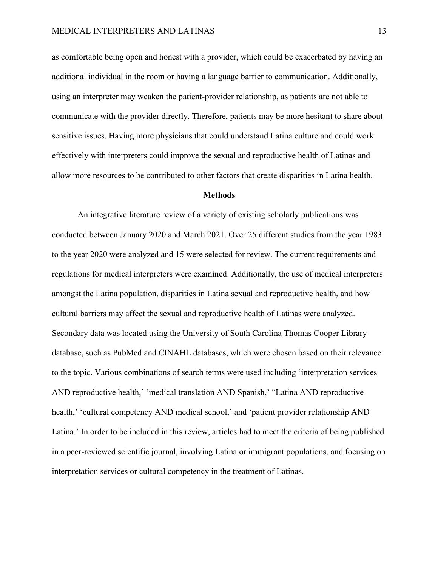as comfortable being open and honest with a provider, which could be exacerbated by having an additional individual in the room or having a language barrier to communication. Additionally, using an interpreter may weaken the patient-provider relationship, as patients are not able to communicate with the provider directly. Therefore, patients may be more hesitant to share about sensitive issues. Having more physicians that could understand Latina culture and could work effectively with interpreters could improve the sexual and reproductive health of Latinas and allow more resources to be contributed to other factors that create disparities in Latina health.

## **Methods**

An integrative literature review of a variety of existing scholarly publications was conducted between January 2020 and March 2021. Over 25 different studies from the year 1983 to the year 2020 were analyzed and 15 were selected for review. The current requirements and regulations for medical interpreters were examined. Additionally, the use of medical interpreters amongst the Latina population, disparities in Latina sexual and reproductive health, and how cultural barriers may affect the sexual and reproductive health of Latinas were analyzed. Secondary data was located using the University of South Carolina Thomas Cooper Library database, such as PubMed and CINAHL databases, which were chosen based on their relevance to the topic. Various combinations of search terms were used including 'interpretation services AND reproductive health,' 'medical translation AND Spanish,' "Latina AND reproductive health,' 'cultural competency AND medical school,' and 'patient provider relationship AND Latina.' In order to be included in this review, articles had to meet the criteria of being published in a peer-reviewed scientific journal, involving Latina or immigrant populations, and focusing on interpretation services or cultural competency in the treatment of Latinas.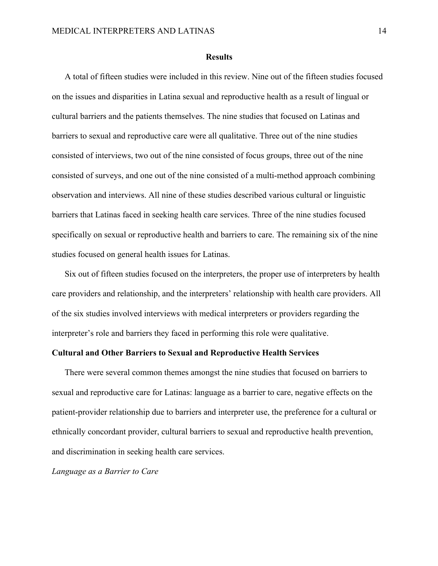## **Results**

A total of fifteen studies were included in this review. Nine out of the fifteen studies focused on the issues and disparities in Latina sexual and reproductive health as a result of lingual or cultural barriers and the patients themselves. The nine studies that focused on Latinas and barriers to sexual and reproductive care were all qualitative. Three out of the nine studies consisted of interviews, two out of the nine consisted of focus groups, three out of the nine consisted of surveys, and one out of the nine consisted of a multi-method approach combining observation and interviews. All nine of these studies described various cultural or linguistic barriers that Latinas faced in seeking health care services. Three of the nine studies focused specifically on sexual or reproductive health and barriers to care. The remaining six of the nine studies focused on general health issues for Latinas.

Six out of fifteen studies focused on the interpreters, the proper use of interpreters by health care providers and relationship, and the interpreters' relationship with health care providers. All of the six studies involved interviews with medical interpreters or providers regarding the interpreter's role and barriers they faced in performing this role were qualitative.

# **Cultural and Other Barriers to Sexual and Reproductive Health Services**

There were several common themes amongst the nine studies that focused on barriers to sexual and reproductive care for Latinas: language as a barrier to care, negative effects on the patient-provider relationship due to barriers and interpreter use, the preference for a cultural or ethnically concordant provider, cultural barriers to sexual and reproductive health prevention, and discrimination in seeking health care services.

*Language as a Barrier to Care*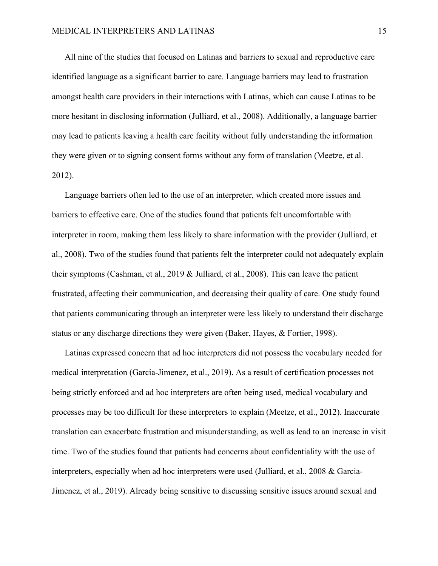All nine of the studies that focused on Latinas and barriers to sexual and reproductive care identified language as a significant barrier to care. Language barriers may lead to frustration amongst health care providers in their interactions with Latinas, which can cause Latinas to be more hesitant in disclosing information (Julliard, et al., 2008). Additionally, a language barrier may lead to patients leaving a health care facility without fully understanding the information they were given or to signing consent forms without any form of translation (Meetze, et al. 2012).

Language barriers often led to the use of an interpreter, which created more issues and barriers to effective care. One of the studies found that patients felt uncomfortable with interpreter in room, making them less likely to share information with the provider (Julliard, et al., 2008). Two of the studies found that patients felt the interpreter could not adequately explain their symptoms (Cashman, et al., 2019 & Julliard, et al., 2008). This can leave the patient frustrated, affecting their communication, and decreasing their quality of care. One study found that patients communicating through an interpreter were less likely to understand their discharge status or any discharge directions they were given (Baker, Hayes, & Fortier, 1998).

Latinas expressed concern that ad hoc interpreters did not possess the vocabulary needed for medical interpretation (Garcia-Jimenez, et al., 2019). As a result of certification processes not being strictly enforced and ad hoc interpreters are often being used, medical vocabulary and processes may be too difficult for these interpreters to explain (Meetze, et al., 2012). Inaccurate translation can exacerbate frustration and misunderstanding, as well as lead to an increase in visit time. Two of the studies found that patients had concerns about confidentiality with the use of interpreters, especially when ad hoc interpreters were used (Julliard, et al., 2008 & Garcia-Jimenez, et al., 2019). Already being sensitive to discussing sensitive issues around sexual and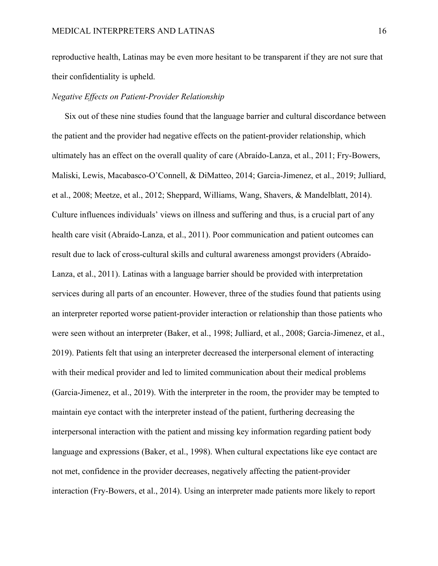reproductive health, Latinas may be even more hesitant to be transparent if they are not sure that their confidentiality is upheld.

# *Negative Effects on Patient-Provider Relationship*

Six out of these nine studies found that the language barrier and cultural discordance between the patient and the provider had negative effects on the patient-provider relationship, which ultimately has an effect on the overall quality of care (Abraído-Lanza, et al., 2011; Fry-Bowers, Maliski, Lewis, Macabasco-O'Connell, & DiMatteo, 2014; Garcia-Jimenez, et al., 2019; Julliard, et al., 2008; Meetze, et al., 2012; Sheppard, Williams, Wang, Shavers, & Mandelblatt, 2014). Culture influences individuals' views on illness and suffering and thus, is a crucial part of any health care visit (Abraído-Lanza, et al., 2011). Poor communication and patient outcomes can result due to lack of cross-cultural skills and cultural awareness amongst providers (Abraído-Lanza, et al., 2011). Latinas with a language barrier should be provided with interpretation services during all parts of an encounter. However, three of the studies found that patients using an interpreter reported worse patient-provider interaction or relationship than those patients who were seen without an interpreter (Baker, et al., 1998; Julliard, et al., 2008; Garcia-Jimenez, et al., 2019). Patients felt that using an interpreter decreased the interpersonal element of interacting with their medical provider and led to limited communication about their medical problems (Garcia-Jimenez, et al., 2019). With the interpreter in the room, the provider may be tempted to maintain eye contact with the interpreter instead of the patient, furthering decreasing the interpersonal interaction with the patient and missing key information regarding patient body language and expressions (Baker, et al., 1998). When cultural expectations like eye contact are not met, confidence in the provider decreases, negatively affecting the patient-provider interaction (Fry-Bowers, et al., 2014). Using an interpreter made patients more likely to report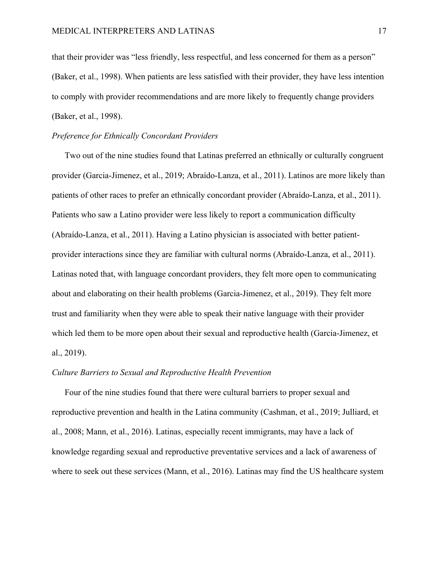that their provider was "less friendly, less respectful, and less concerned for them as a person" (Baker, et al., 1998). When patients are less satisfied with their provider, they have less intention to comply with provider recommendations and are more likely to frequently change providers (Baker, et al., 1998).

# *Preference for Ethnically Concordant Providers*

Two out of the nine studies found that Latinas preferred an ethnically or culturally congruent provider (Garcia-Jimenez, et al., 2019; Abraído-Lanza, et al., 2011). Latinos are more likely than patients of other races to prefer an ethnically concordant provider (Abraído-Lanza, et al., 2011). Patients who saw a Latino provider were less likely to report a communication difficulty (Abraído-Lanza, et al., 2011). Having a Latino physician is associated with better patientprovider interactions since they are familiar with cultural norms (Abraído-Lanza, et al., 2011). Latinas noted that, with language concordant providers, they felt more open to communicating about and elaborating on their health problems (Garcia-Jimenez, et al., 2019). They felt more trust and familiarity when they were able to speak their native language with their provider which led them to be more open about their sexual and reproductive health (Garcia-Jimenez, et al., 2019).

# *Culture Barriers to Sexual and Reproductive Health Prevention*

Four of the nine studies found that there were cultural barriers to proper sexual and reproductive prevention and health in the Latina community (Cashman, et al., 2019; Julliard, et al., 2008; Mann, et al., 2016). Latinas, especially recent immigrants, may have a lack of knowledge regarding sexual and reproductive preventative services and a lack of awareness of where to seek out these services (Mann, et al., 2016). Latinas may find the US healthcare system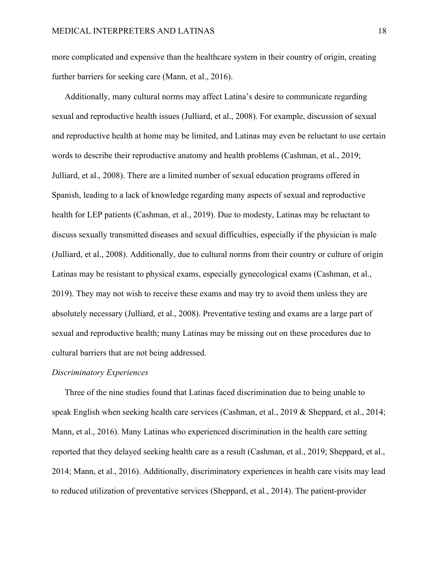more complicated and expensive than the healthcare system in their country of origin, creating further barriers for seeking care (Mann, et al., 2016).

Additionally, many cultural norms may affect Latina's desire to communicate regarding sexual and reproductive health issues (Julliard, et al., 2008). For example, discussion of sexual and reproductive health at home may be limited, and Latinas may even be reluctant to use certain words to describe their reproductive anatomy and health problems (Cashman, et al., 2019; Julliard, et al., 2008). There are a limited number of sexual education programs offered in Spanish, leading to a lack of knowledge regarding many aspects of sexual and reproductive health for LEP patients (Cashman, et al., 2019). Due to modesty, Latinas may be reluctant to discuss sexually transmitted diseases and sexual difficulties, especially if the physician is male (Julliard, et al., 2008). Additionally, due to cultural norms from their country or culture of origin Latinas may be resistant to physical exams, especially gynecological exams (Cashman, et al., 2019). They may not wish to receive these exams and may try to avoid them unless they are absolutely necessary (Julliard, et al., 2008). Preventative testing and exams are a large part of sexual and reproductive health; many Latinas may be missing out on these procedures due to cultural barriers that are not being addressed.

#### *Discriminatory Experiences*

Three of the nine studies found that Latinas faced discrimination due to being unable to speak English when seeking health care services (Cashman, et al., 2019 & Sheppard, et al., 2014; Mann, et al., 2016). Many Latinas who experienced discrimination in the health care setting reported that they delayed seeking health care as a result (Cashman, et al., 2019; Sheppard, et al., 2014; Mann, et al., 2016). Additionally, discriminatory experiences in health care visits may lead to reduced utilization of preventative services (Sheppard, et al., 2014). The patient-provider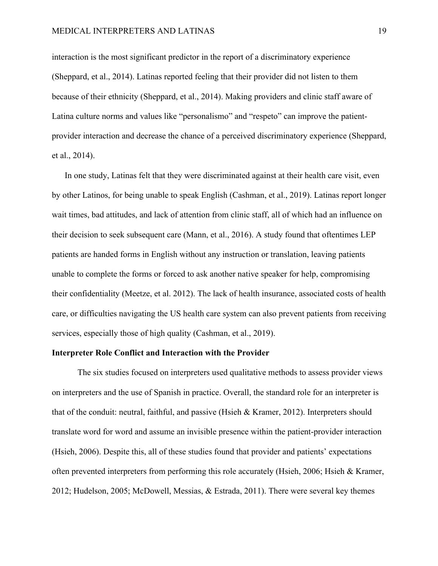interaction is the most significant predictor in the report of a discriminatory experience (Sheppard, et al., 2014). Latinas reported feeling that their provider did not listen to them because of their ethnicity (Sheppard, et al., 2014). Making providers and clinic staff aware of Latina culture norms and values like "personalismo" and "respeto" can improve the patientprovider interaction and decrease the chance of a perceived discriminatory experience (Sheppard, et al., 2014).

In one study, Latinas felt that they were discriminated against at their health care visit, even by other Latinos, for being unable to speak English (Cashman, et al., 2019). Latinas report longer wait times, bad attitudes, and lack of attention from clinic staff, all of which had an influence on their decision to seek subsequent care (Mann, et al., 2016). A study found that oftentimes LEP patients are handed forms in English without any instruction or translation, leaving patients unable to complete the forms or forced to ask another native speaker for help, compromising their confidentiality (Meetze, et al. 2012). The lack of health insurance, associated costs of health care, or difficulties navigating the US health care system can also prevent patients from receiving services, especially those of high quality (Cashman, et al., 2019).

# **Interpreter Role Conflict and Interaction with the Provider**

The six studies focused on interpreters used qualitative methods to assess provider views on interpreters and the use of Spanish in practice. Overall, the standard role for an interpreter is that of the conduit: neutral, faithful, and passive (Hsieh & Kramer, 2012). Interpreters should translate word for word and assume an invisible presence within the patient-provider interaction (Hsieh, 2006). Despite this, all of these studies found that provider and patients' expectations often prevented interpreters from performing this role accurately (Hsieh, 2006; Hsieh & Kramer, 2012; Hudelson, 2005; McDowell, Messias, & Estrada, 2011). There were several key themes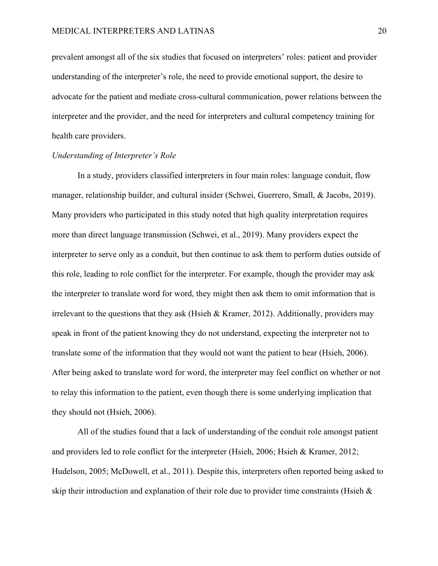prevalent amongst all of the six studies that focused on interpreters' roles: patient and provider understanding of the interpreter's role, the need to provide emotional support, the desire to advocate for the patient and mediate cross-cultural communication, power relations between the interpreter and the provider, and the need for interpreters and cultural competency training for health care providers.

# *Understanding of Interpreter's Role*

In a study, providers classified interpreters in four main roles: language conduit, flow manager, relationship builder, and cultural insider (Schwei, Guerrero, Small, & Jacobs, 2019). Many providers who participated in this study noted that high quality interpretation requires more than direct language transmission (Schwei, et al., 2019). Many providers expect the interpreter to serve only as a conduit, but then continue to ask them to perform duties outside of this role, leading to role conflict for the interpreter. For example, though the provider may ask the interpreter to translate word for word, they might then ask them to omit information that is irrelevant to the questions that they ask (Hsieh & Kramer, 2012). Additionally, providers may speak in front of the patient knowing they do not understand, expecting the interpreter not to translate some of the information that they would not want the patient to hear (Hsieh, 2006). After being asked to translate word for word, the interpreter may feel conflict on whether or not to relay this information to the patient, even though there is some underlying implication that they should not (Hsieh, 2006).

All of the studies found that a lack of understanding of the conduit role amongst patient and providers led to role conflict for the interpreter (Hsieh, 2006; Hsieh & Kramer, 2012; Hudelson, 2005; McDowell, et al., 2011). Despite this, interpreters often reported being asked to skip their introduction and explanation of their role due to provider time constraints (Hsieh &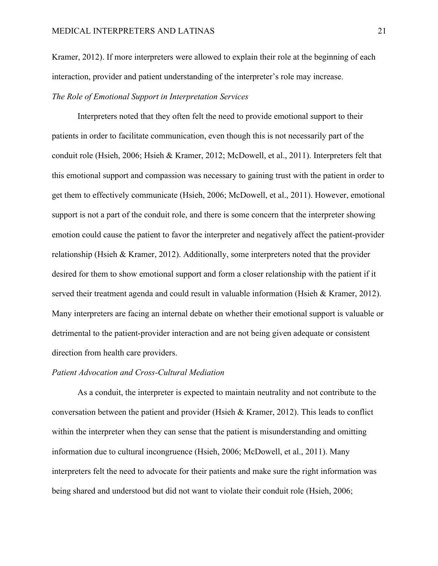Kramer, 2012). If more interpreters were allowed to explain their role at the beginning of each interaction, provider and patient understanding of the interpreter's role may increase.

# *The Role of Emotional Support in Interpretation Services*

Interpreters noted that they often felt the need to provide emotional support to their patients in order to facilitate communication, even though this is not necessarily part of the conduit role (Hsieh, 2006; Hsieh & Kramer, 2012; McDowell, et al., 2011). Interpreters felt that this emotional support and compassion was necessary to gaining trust with the patient in order to get them to effectively communicate (Hsieh, 2006; McDowell, et al., 2011). However, emotional support is not a part of the conduit role, and there is some concern that the interpreter showing emotion could cause the patient to favor the interpreter and negatively affect the patient-provider relationship (Hsieh & Kramer, 2012). Additionally, some interpreters noted that the provider desired for them to show emotional support and form a closer relationship with the patient if it served their treatment agenda and could result in valuable information (Hsieh & Kramer, 2012). Many interpreters are facing an internal debate on whether their emotional support is valuable or detrimental to the patient-provider interaction and are not being given adequate or consistent direction from health care providers.

# *Patient Advocation and Cross-Cultural Mediation*

As a conduit, the interpreter is expected to maintain neutrality and not contribute to the conversation between the patient and provider (Hsieh & Kramer, 2012). This leads to conflict within the interpreter when they can sense that the patient is misunderstanding and omitting information due to cultural incongruence (Hsieh, 2006; McDowell, et al., 2011). Many interpreters felt the need to advocate for their patients and make sure the right information was being shared and understood but did not want to violate their conduit role (Hsieh, 2006;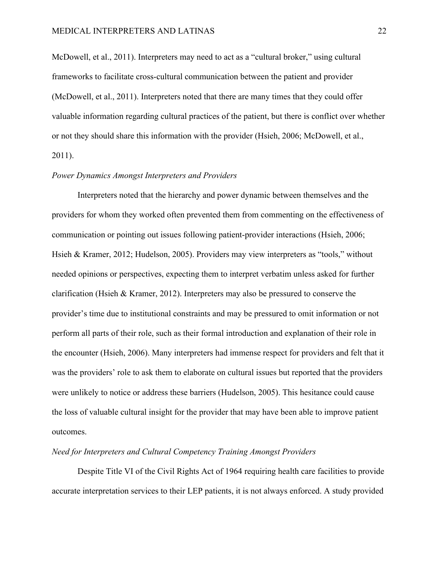McDowell, et al., 2011). Interpreters may need to act as a "cultural broker," using cultural frameworks to facilitate cross-cultural communication between the patient and provider (McDowell, et al., 2011). Interpreters noted that there are many times that they could offer valuable information regarding cultural practices of the patient, but there is conflict over whether or not they should share this information with the provider (Hsieh, 2006; McDowell, et al., 2011).

# *Power Dynamics Amongst Interpreters and Providers*

Interpreters noted that the hierarchy and power dynamic between themselves and the providers for whom they worked often prevented them from commenting on the effectiveness of communication or pointing out issues following patient-provider interactions (Hsieh, 2006; Hsieh & Kramer, 2012; Hudelson, 2005). Providers may view interpreters as "tools," without needed opinions or perspectives, expecting them to interpret verbatim unless asked for further clarification (Hsieh & Kramer, 2012). Interpreters may also be pressured to conserve the provider's time due to institutional constraints and may be pressured to omit information or not perform all parts of their role, such as their formal introduction and explanation of their role in the encounter (Hsieh, 2006). Many interpreters had immense respect for providers and felt that it was the providers' role to ask them to elaborate on cultural issues but reported that the providers were unlikely to notice or address these barriers (Hudelson, 2005). This hesitance could cause the loss of valuable cultural insight for the provider that may have been able to improve patient outcomes.

# *Need for Interpreters and Cultural Competency Training Amongst Providers*

Despite Title VI of the Civil Rights Act of 1964 requiring health care facilities to provide accurate interpretation services to their LEP patients, it is not always enforced. A study provided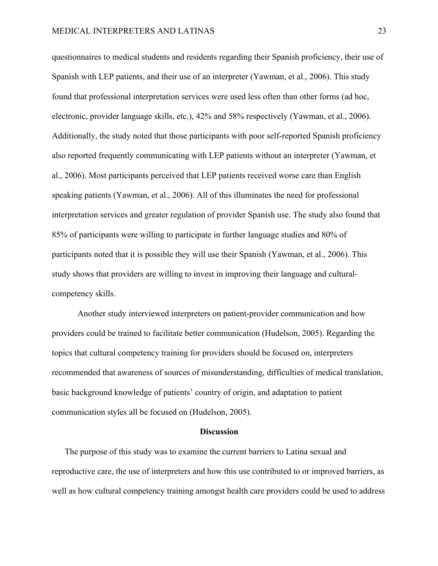questionnaires to medical students and residents regarding their Spanish proficiency, their use of Spanish with LEP patients, and their use of an interpreter (Yawman, et al., 2006). This study found that professional interpretation services were used less often than other forms (ad hoc, electronic, provider language skills, etc.), 42% and 58% respectively (Yawman, et al., 2006). Additionally, the study noted that those participants with poor self-reported Spanish proficiency also reported frequently communicating with LEP patients without an interpreter (Yawman, et al., 2006). Most participants perceived that LEP patients received worse care than English speaking patients (Yawman, et al., 2006). All of this illuminates the need for professional interpretation services and greater regulation of provider Spanish use. The study also found that 85% of participants were willing to participate in further language studies and 80% of participants noted that it is possible they will use their Spanish (Yawman, et al., 2006). This study shows that providers are willing to invest in improving their language and culturalcompetency skills.

Another study interviewed interpreters on patient-provider communication and how providers could be trained to facilitate better communication (Hudelson, 2005). Regarding the topics that cultural competency training for providers should be focused on, interpreters recommended that awareness of sources of misunderstanding, difficulties of medical translation, basic background knowledge of patients' country of origin, and adaptation to patient communication styles all be focused on (Hudelson, 2005).

# **Discussion**

The purpose of this study was to examine the current barriers to Latina sexual and reproductive care, the use of interpreters and how this use contributed to or improved barriers, as well as how cultural competency training amongst health care providers could be used to address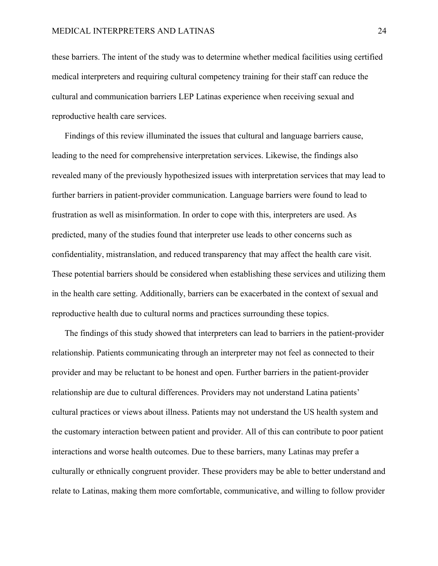these barriers. The intent of the study was to determine whether medical facilities using certified medical interpreters and requiring cultural competency training for their staff can reduce the cultural and communication barriers LEP Latinas experience when receiving sexual and reproductive health care services.

Findings of this review illuminated the issues that cultural and language barriers cause, leading to the need for comprehensive interpretation services. Likewise, the findings also revealed many of the previously hypothesized issues with interpretation services that may lead to further barriers in patient-provider communication. Language barriers were found to lead to frustration as well as misinformation. In order to cope with this, interpreters are used. As predicted, many of the studies found that interpreter use leads to other concerns such as confidentiality, mistranslation, and reduced transparency that may affect the health care visit. These potential barriers should be considered when establishing these services and utilizing them in the health care setting. Additionally, barriers can be exacerbated in the context of sexual and reproductive health due to cultural norms and practices surrounding these topics.

The findings of this study showed that interpreters can lead to barriers in the patient-provider relationship. Patients communicating through an interpreter may not feel as connected to their provider and may be reluctant to be honest and open. Further barriers in the patient-provider relationship are due to cultural differences. Providers may not understand Latina patients' cultural practices or views about illness. Patients may not understand the US health system and the customary interaction between patient and provider. All of this can contribute to poor patient interactions and worse health outcomes. Due to these barriers, many Latinas may prefer a culturally or ethnically congruent provider. These providers may be able to better understand and relate to Latinas, making them more comfortable, communicative, and willing to follow provider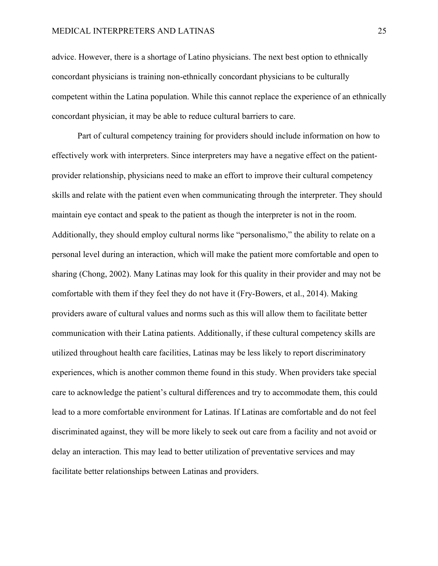advice. However, there is a shortage of Latino physicians. The next best option to ethnically concordant physicians is training non-ethnically concordant physicians to be culturally competent within the Latina population. While this cannot replace the experience of an ethnically concordant physician, it may be able to reduce cultural barriers to care.

Part of cultural competency training for providers should include information on how to effectively work with interpreters. Since interpreters may have a negative effect on the patientprovider relationship, physicians need to make an effort to improve their cultural competency skills and relate with the patient even when communicating through the interpreter. They should maintain eye contact and speak to the patient as though the interpreter is not in the room. Additionally, they should employ cultural norms like "personalismo," the ability to relate on a personal level during an interaction, which will make the patient more comfortable and open to sharing (Chong, 2002). Many Latinas may look for this quality in their provider and may not be comfortable with them if they feel they do not have it (Fry-Bowers, et al., 2014). Making providers aware of cultural values and norms such as this will allow them to facilitate better communication with their Latina patients. Additionally, if these cultural competency skills are utilized throughout health care facilities, Latinas may be less likely to report discriminatory experiences, which is another common theme found in this study. When providers take special care to acknowledge the patient's cultural differences and try to accommodate them, this could lead to a more comfortable environment for Latinas. If Latinas are comfortable and do not feel discriminated against, they will be more likely to seek out care from a facility and not avoid or delay an interaction. This may lead to better utilization of preventative services and may facilitate better relationships between Latinas and providers.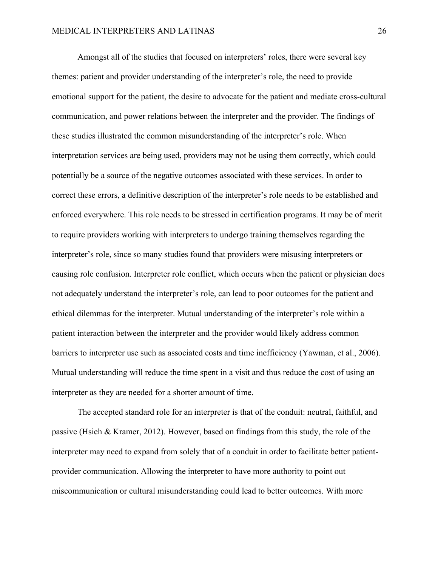Amongst all of the studies that focused on interpreters' roles, there were several key themes: patient and provider understanding of the interpreter's role, the need to provide emotional support for the patient, the desire to advocate for the patient and mediate cross-cultural communication, and power relations between the interpreter and the provider. The findings of these studies illustrated the common misunderstanding of the interpreter's role. When interpretation services are being used, providers may not be using them correctly, which could potentially be a source of the negative outcomes associated with these services. In order to correct these errors, a definitive description of the interpreter's role needs to be established and enforced everywhere. This role needs to be stressed in certification programs. It may be of merit to require providers working with interpreters to undergo training themselves regarding the interpreter's role, since so many studies found that providers were misusing interpreters or causing role confusion. Interpreter role conflict, which occurs when the patient or physician does not adequately understand the interpreter's role, can lead to poor outcomes for the patient and ethical dilemmas for the interpreter. Mutual understanding of the interpreter's role within a patient interaction between the interpreter and the provider would likely address common barriers to interpreter use such as associated costs and time inefficiency (Yawman, et al., 2006). Mutual understanding will reduce the time spent in a visit and thus reduce the cost of using an interpreter as they are needed for a shorter amount of time.

The accepted standard role for an interpreter is that of the conduit: neutral, faithful, and passive (Hsieh & Kramer, 2012). However, based on findings from this study, the role of the interpreter may need to expand from solely that of a conduit in order to facilitate better patientprovider communication. Allowing the interpreter to have more authority to point out miscommunication or cultural misunderstanding could lead to better outcomes. With more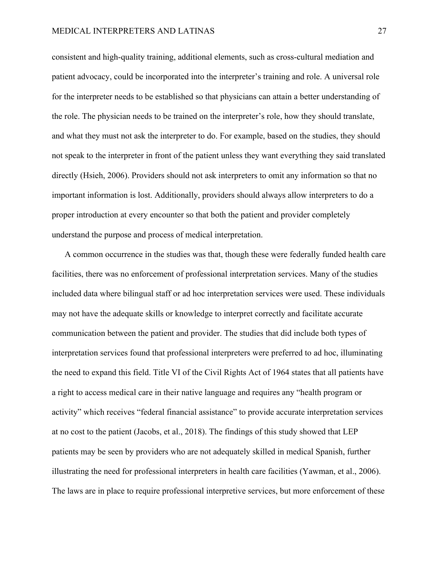# MEDICAL INTERPRETERS AND LATINAS 27

consistent and high-quality training, additional elements, such as cross-cultural mediation and patient advocacy, could be incorporated into the interpreter's training and role. A universal role for the interpreter needs to be established so that physicians can attain a better understanding of the role. The physician needs to be trained on the interpreter's role, how they should translate, and what they must not ask the interpreter to do. For example, based on the studies, they should not speak to the interpreter in front of the patient unless they want everything they said translated directly (Hsieh, 2006). Providers should not ask interpreters to omit any information so that no important information is lost. Additionally, providers should always allow interpreters to do a proper introduction at every encounter so that both the patient and provider completely understand the purpose and process of medical interpretation.

A common occurrence in the studies was that, though these were federally funded health care facilities, there was no enforcement of professional interpretation services. Many of the studies included data where bilingual staff or ad hoc interpretation services were used. These individuals may not have the adequate skills or knowledge to interpret correctly and facilitate accurate communication between the patient and provider. The studies that did include both types of interpretation services found that professional interpreters were preferred to ad hoc, illuminating the need to expand this field. Title VI of the Civil Rights Act of 1964 states that all patients have a right to access medical care in their native language and requires any "health program or activity" which receives "federal financial assistance" to provide accurate interpretation services at no cost to the patient (Jacobs, et al., 2018). The findings of this study showed that LEP patients may be seen by providers who are not adequately skilled in medical Spanish, further illustrating the need for professional interpreters in health care facilities (Yawman, et al., 2006). The laws are in place to require professional interpretive services, but more enforcement of these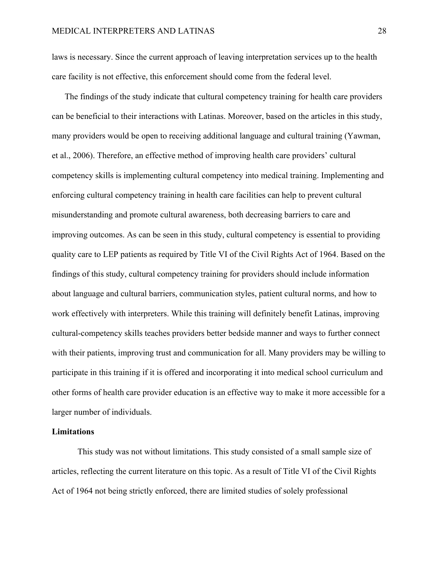laws is necessary. Since the current approach of leaving interpretation services up to the health care facility is not effective, this enforcement should come from the federal level.

The findings of the study indicate that cultural competency training for health care providers can be beneficial to their interactions with Latinas. Moreover, based on the articles in this study, many providers would be open to receiving additional language and cultural training (Yawman, et al., 2006). Therefore, an effective method of improving health care providers' cultural competency skills is implementing cultural competency into medical training. Implementing and enforcing cultural competency training in health care facilities can help to prevent cultural misunderstanding and promote cultural awareness, both decreasing barriers to care and improving outcomes. As can be seen in this study, cultural competency is essential to providing quality care to LEP patients as required by Title VI of the Civil Rights Act of 1964. Based on the findings of this study, cultural competency training for providers should include information about language and cultural barriers, communication styles, patient cultural norms, and how to work effectively with interpreters. While this training will definitely benefit Latinas, improving cultural-competency skills teaches providers better bedside manner and ways to further connect with their patients, improving trust and communication for all. Many providers may be willing to participate in this training if it is offered and incorporating it into medical school curriculum and other forms of health care provider education is an effective way to make it more accessible for a larger number of individuals.

# **Limitations**

This study was not without limitations. This study consisted of a small sample size of articles, reflecting the current literature on this topic. As a result of Title VI of the Civil Rights Act of 1964 not being strictly enforced, there are limited studies of solely professional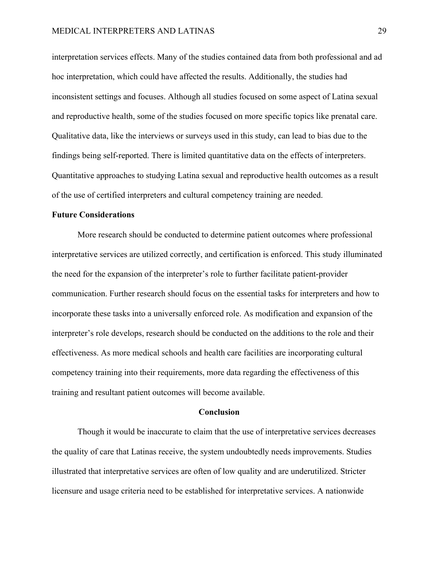interpretation services effects. Many of the studies contained data from both professional and ad hoc interpretation, which could have affected the results. Additionally, the studies had inconsistent settings and focuses. Although all studies focused on some aspect of Latina sexual and reproductive health, some of the studies focused on more specific topics like prenatal care. Qualitative data, like the interviews or surveys used in this study, can lead to bias due to the findings being self-reported. There is limited quantitative data on the effects of interpreters. Quantitative approaches to studying Latina sexual and reproductive health outcomes as a result of the use of certified interpreters and cultural competency training are needed.

# **Future Considerations**

More research should be conducted to determine patient outcomes where professional interpretative services are utilized correctly, and certification is enforced. This study illuminated the need for the expansion of the interpreter's role to further facilitate patient-provider communication. Further research should focus on the essential tasks for interpreters and how to incorporate these tasks into a universally enforced role. As modification and expansion of the interpreter's role develops, research should be conducted on the additions to the role and their effectiveness. As more medical schools and health care facilities are incorporating cultural competency training into their requirements, more data regarding the effectiveness of this training and resultant patient outcomes will become available.

## **Conclusion**

Though it would be inaccurate to claim that the use of interpretative services decreases the quality of care that Latinas receive, the system undoubtedly needs improvements. Studies illustrated that interpretative services are often of low quality and are underutilized. Stricter licensure and usage criteria need to be established for interpretative services. A nationwide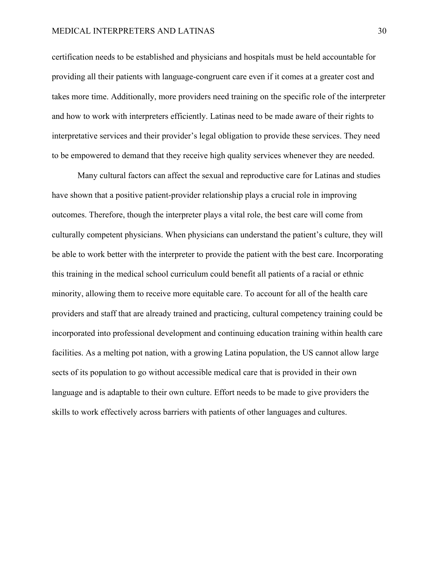# MEDICAL INTERPRETERS AND LATINAS 30

certification needs to be established and physicians and hospitals must be held accountable for providing all their patients with language-congruent care even if it comes at a greater cost and takes more time. Additionally, more providers need training on the specific role of the interpreter and how to work with interpreters efficiently. Latinas need to be made aware of their rights to interpretative services and their provider's legal obligation to provide these services. They need to be empowered to demand that they receive high quality services whenever they are needed.

Many cultural factors can affect the sexual and reproductive care for Latinas and studies have shown that a positive patient-provider relationship plays a crucial role in improving outcomes. Therefore, though the interpreter plays a vital role, the best care will come from culturally competent physicians. When physicians can understand the patient's culture, they will be able to work better with the interpreter to provide the patient with the best care. Incorporating this training in the medical school curriculum could benefit all patients of a racial or ethnic minority, allowing them to receive more equitable care. To account for all of the health care providers and staff that are already trained and practicing, cultural competency training could be incorporated into professional development and continuing education training within health care facilities. As a melting pot nation, with a growing Latina population, the US cannot allow large sects of its population to go without accessible medical care that is provided in their own language and is adaptable to their own culture. Effort needs to be made to give providers the skills to work effectively across barriers with patients of other languages and cultures.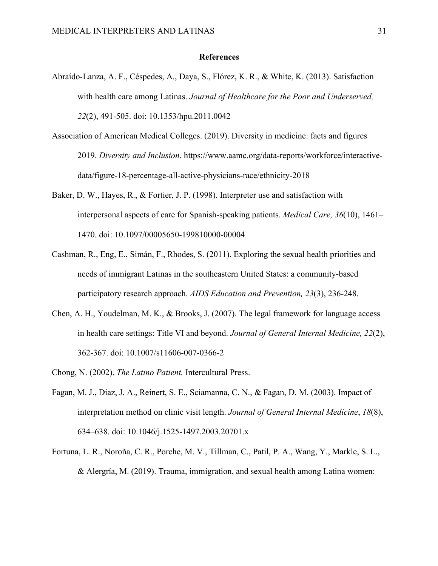# **References**

- Abraído-Lanza, A. F., Céspedes, A., Daya, S., Flórez, K. R., & White, K. (2013). Satisfaction with health care among Latinas. *Journal of Healthcare for the Poor and Underserved, 22*(2), 491-505. doi: 10.1353/hpu.2011.0042
- Association of American Medical Colleges. (2019). Diversity in medicine: facts and figures 2019. *Diversity and Inclusion*. https://www.aamc.org/data-reports/workforce/interactivedata/figure-18-percentage-all-active-physicians-race/ethnicity-2018
- Baker, D. W., Hayes, R., & Fortier, J. P. (1998). Interpreter use and satisfaction with interpersonal aspects of care for Spanish-speaking patients. *Medical Care, 36*(10), 1461– 1470. doi: 10.1097/00005650-199810000-00004
- Cashman, R., Eng, E., Simán, F., Rhodes, S. (2011). Exploring the sexual health priorities and needs of immigrant Latinas in the southeastern United States: a community-based participatory research approach. *AIDS Education and Prevention, 23*(3), 236-248.
- Chen, A. H., Youdelman, M. K., & Brooks, J. (2007). The legal framework for language access in health care settings: Title VI and beyond. *Journal of General Internal Medicine, 22*(2), 362-367. doi: 10.1007/s11606-007-0366-2
- Chong, N. (2002). *The Latino Patient.* Intercultural Press.
- Fagan, M. J., Diaz, J. A., Reinert, S. E., Sciamanna, C. N., & Fagan, D. M. (2003). Impact of interpretation method on clinic visit length. *Journal of General Internal Medicine*, *18*(8), 634–638. doi: 10.1046/j.1525-1497.2003.20701.x
- Fortuna, L. R., Noroña, C. R., Porche, M. V., Tillman, C., Patil, P. A., Wang, Y., Markle, S. L., & Alergría, M. (2019). Trauma, immigration, and sexual health among Latina women: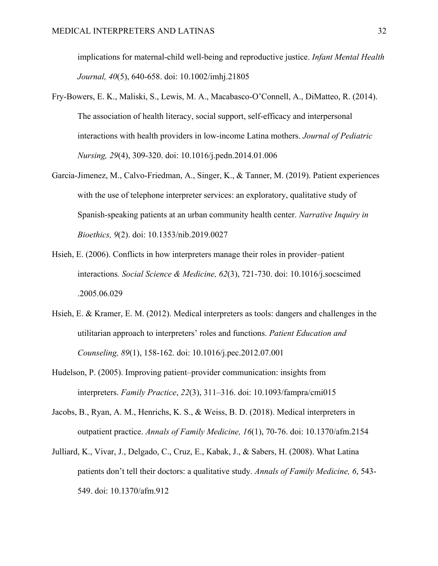implications for maternal-child well-being and reproductive justice. *Infant Mental Health Journal, 40*(5), 640-658. doi: 10.1002/imhj.21805

- Fry-Bowers, E. K., Maliski, S., Lewis, M. A., Macabasco-O'Connell, A., DiMatteo, R. (2014). The association of health literacy, social support, self-efficacy and interpersonal interactions with health providers in low-income Latina mothers. *Journal of Pediatric Nursing, 29*(4), 309-320. doi: 10.1016/j.pedn.2014.01.006
- Garcia-Jimenez, M., Calvo-Friedman, A., Singer, K., & Tanner, M. (2019). Patient experiences with the use of telephone interpreter services: an exploratory, qualitative study of Spanish-speaking patients at an urban community health center. *Narrative Inquiry in Bioethics, 9*(2). doi: 10.1353/nib.2019.0027
- Hsieh, E. (2006). Conflicts in how interpreters manage their roles in provider–patient interactions*. Social Science & Medicine, 62*(3), 721-730. doi: 10.1016/j.socscimed .2005.06.029
- Hsieh, E. & Kramer, E. M. (2012). Medical interpreters as tools: dangers and challenges in the utilitarian approach to interpreters' roles and functions. *Patient Education and Counseling, 89*(1), 158-162. doi: 10.1016/j.pec.2012.07.001
- Hudelson, P. (2005). Improving patient–provider communication: insights from interpreters. *Family Practice*, *22*(3), 311–316. doi: 10.1093/fampra/cmi015
- Jacobs, B., Ryan, A. M., Henrichs, K. S., & Weiss, B. D. (2018). Medical interpreters in outpatient practice. *Annals of Family Medicine, 16*(1), 70-76. doi: 10.1370/afm.2154
- Julliard, K., Vivar, J., Delgado, C., Cruz, E., Kabak, J., & Sabers, H. (2008). What Latina patients don't tell their doctors: a qualitative study. *Annals of Family Medicine, 6*, 543- 549. doi: 10.1370/afm.912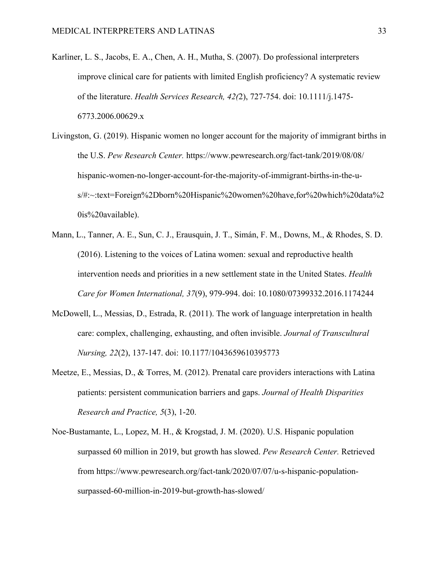- Karliner, L. S., Jacobs, E. A., Chen, A. H., Mutha, S. (2007). Do professional interpreters improve clinical care for patients with limited English proficiency? A systematic review of the literature. *Health Services Research, 42(*2), 727-754. doi: 10.1111/j.1475- 6773.2006.00629.x
- Livingston, G. (2019). Hispanic women no longer account for the majority of immigrant births in the U.S. *Pew Research Center.* https://www.pewresearch.org/fact-tank/2019/08/08/ hispanic-women-no-longer-account-for-the-majority-of-immigrant-births-in-the-us/#:~:text=Foreign%2Dborn%20Hispanic%20women%20have,for%20which%20data%2 0is%20available).
- Mann, L., Tanner, A. E., Sun, C. J., Erausquin, J. T., Simán, F. M., Downs, M., & Rhodes, S. D. (2016). Listening to the voices of Latina women: sexual and reproductive health intervention needs and priorities in a new settlement state in the United States. *Health Care for Women International, 37*(9), 979-994. doi: 10.1080/07399332.2016.1174244
- McDowell, L., Messias, D., Estrada, R. (2011). The work of language interpretation in health care: complex, challenging, exhausting, and often invisible. *Journal of Transcultural Nursing, 22*(2), 137-147. doi: 10.1177/1043659610395773
- Meetze, E., Messias, D., & Torres, M. (2012). Prenatal care providers interactions with Latina patients: persistent communication barriers and gaps. *Journal of Health Disparities Research and Practice, 5*(3), 1-20.
- Noe-Bustamante, L., Lopez, M. H., & Krogstad, J. M. (2020). U.S. Hispanic population surpassed 60 million in 2019, but growth has slowed. *Pew Research Center.* Retrieved from https://www.pewresearch.org/fact-tank/2020/07/07/u-s-hispanic-populationsurpassed-60-million-in-2019-but-growth-has-slowed/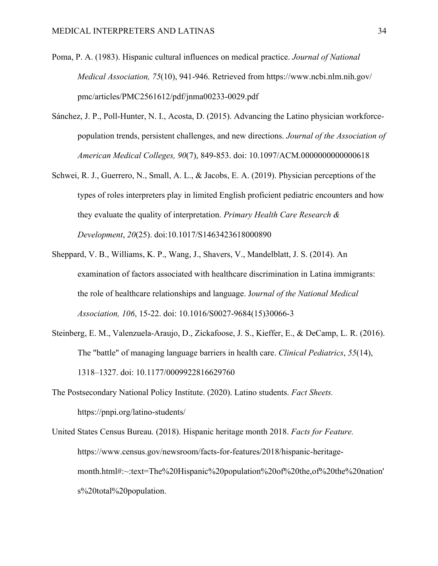- Poma, P. A. (1983). Hispanic cultural influences on medical practice. *Journal of National Medical Association, 75*(10), 941-946. Retrieved from https://www.ncbi.nlm.nih.gov/ pmc/articles/PMC2561612/pdf/jnma00233-0029.pdf
- Sánchez, J. P., Poll-Hunter, N. I., Acosta, D. (2015). Advancing the Latino physician workforcepopulation trends, persistent challenges, and new directions. *Journal of the Association of American Medical Colleges, 90*(7), 849-853. doi: 10.1097/ACM.0000000000000618
- Schwei, R. J., Guerrero, N., Small, A. L., & Jacobs, E. A. (2019). Physician perceptions of the types of roles interpreters play in limited English proficient pediatric encounters and how they evaluate the quality of interpretation. *Primary Health Care Research & Development*, *20*(25). doi:10.1017/S1463423618000890
- Sheppard, V. B., Williams, K. P., Wang, J., Shavers, V., Mandelblatt, J. S. (2014). An examination of factors associated with healthcare discrimination in Latina immigrants: the role of healthcare relationships and language. J*ournal of the National Medical Association, 106*, 15-22. doi: 10.1016/S0027-9684(15)30066-3
- Steinberg, E. M., Valenzuela-Araujo, D., Zickafoose, J. S., Kieffer, E., & DeCamp, L. R. (2016). The "battle" of managing language barriers in health care. *Clinical Pediatrics*, *55*(14), 1318–1327. doi: 10.1177/0009922816629760
- The Postsecondary National Policy Institute. (2020). Latino students. *Fact Sheets.*  https://pnpi.org/latino-students/
- United States Census Bureau. (2018). Hispanic heritage month 2018. *Facts for Feature.*  https://www.census.gov/newsroom/facts-for-features/2018/hispanic-heritagemonth.html#:~:text=The%20Hispanic%20population%20of%20the,of%20the%20nation' s%20total%20population.